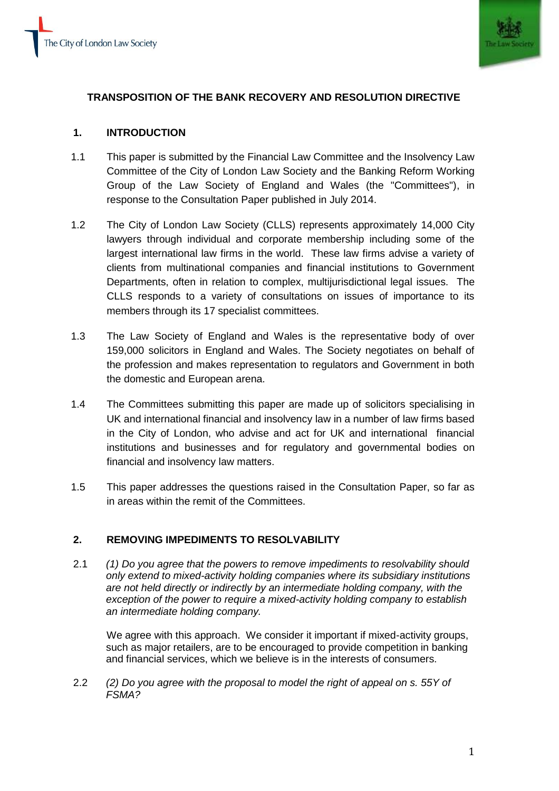

# **TRANSPOSITION OF THE BANK RECOVERY AND RESOLUTION DIRECTIVE**

## **1. INTRODUCTION**

- 1.1 This paper is submitted by the Financial Law Committee and the Insolvency Law Committee of the City of London Law Society and the Banking Reform Working Group of the Law Society of England and Wales (the "Committees"), in response to the Consultation Paper published in July 2014.
- 1.2 The City of London Law Society (CLLS) represents approximately 14,000 City lawyers through individual and corporate membership including some of the largest international law firms in the world. These law firms advise a variety of clients from multinational companies and financial institutions to Government Departments, often in relation to complex, multijurisdictional legal issues. The CLLS responds to a variety of consultations on issues of importance to its members through its 17 specialist committees.
- 1.3 The Law Society of England and Wales is the representative body of over 159,000 solicitors in England and Wales. The Society negotiates on behalf of the profession and makes representation to regulators and Government in both the domestic and European arena.
- 1.4 The Committees submitting this paper are made up of solicitors specialising in UK and international financial and insolvency law in a number of law firms based in the City of London, who advise and act for UK and international financial institutions and businesses and for regulatory and governmental bodies on financial and insolvency law matters.
- 1.5 This paper addresses the questions raised in the Consultation Paper, so far as in areas within the remit of the Committees.

## **2. REMOVING IMPEDIMENTS TO RESOLVABILITY**

2.1 *(1) Do you agree that the powers to remove impediments to resolvability should only extend to mixed-activity holding companies where its subsidiary institutions are not held directly or indirectly by an intermediate holding company, with the exception of the power to require a mixed-activity holding company to establish an intermediate holding company.*

We agree with this approach. We consider it important if mixed-activity groups, such as major retailers, are to be encouraged to provide competition in banking and financial services, which we believe is in the interests of consumers.

2.2 *(2) Do you agree with the proposal to model the right of appeal on s. 55Y of FSMA?*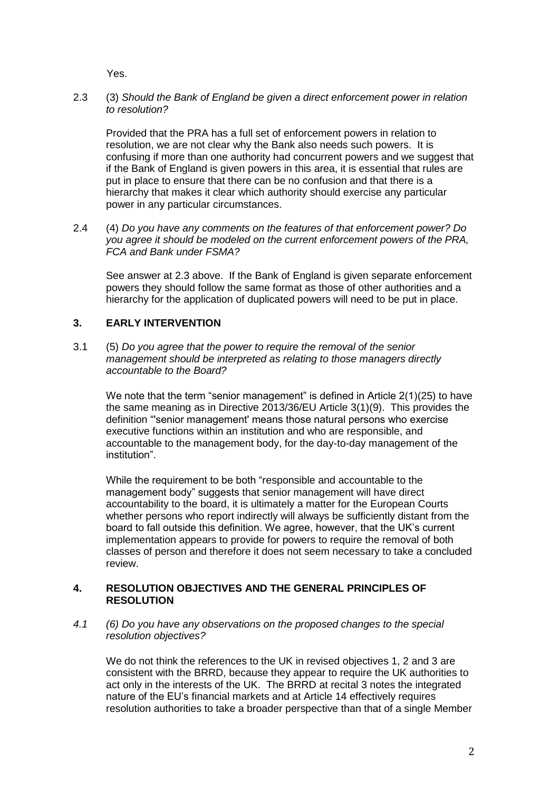Yes.

### 2.3 (3) *Should the Bank of England be given a direct enforcement power in relation to resolution?*

Provided that the PRA has a full set of enforcement powers in relation to resolution, we are not clear why the Bank also needs such powers. It is confusing if more than one authority had concurrent powers and we suggest that if the Bank of England is given powers in this area, it is essential that rules are put in place to ensure that there can be no confusion and that there is a hierarchy that makes it clear which authority should exercise any particular power in any particular circumstances.

2.4 (4) *Do you have any comments on the features of that enforcement power? Do you agree it should be modeled on the current enforcement powers of the PRA, FCA and Bank under FSMA?*

See answer at 2.3 above. If the Bank of England is given separate enforcement powers they should follow the same format as those of other authorities and a hierarchy for the application of duplicated powers will need to be put in place.

### **3. EARLY INTERVENTION**

3.1 (5) *Do you agree that the power to require the removal of the senior management should be interpreted as relating to those managers directly accountable to the Board?*

We note that the term "senior management" is defined in Article 2(1)(25) to have the same meaning as in Directive 2013/36/EU Article 3(1)(9). This provides the definition "'senior management' means those natural persons who exercise executive functions within an institution and who are responsible, and accountable to the management body, for the day-to-day management of the institution".

While the requirement to be both "responsible and accountable to the management body" suggests that senior management will have direct accountability to the board, it is ultimately a matter for the European Courts whether persons who report indirectly will always be sufficiently distant from the board to fall outside this definition. We agree, however, that the UK's current implementation appears to provide for powers to require the removal of both classes of person and therefore it does not seem necessary to take a concluded review.

### **4. RESOLUTION OBJECTIVES AND THE GENERAL PRINCIPLES OF RESOLUTION**

*4.1 (6) Do you have any observations on the proposed changes to the special resolution objectives?* 

We do not think the references to the UK in revised objectives 1, 2 and 3 are consistent with the BRRD, because they appear to require the UK authorities to act only in the interests of the UK. The BRRD at recital 3 notes the integrated nature of the EU's financial markets and at Article 14 effectively requires resolution authorities to take a broader perspective than that of a single Member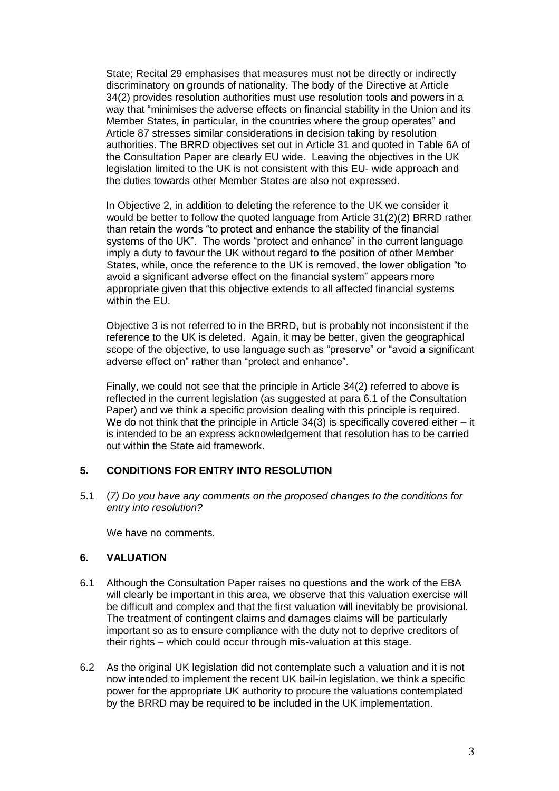State; Recital 29 emphasises that measures must not be directly or indirectly discriminatory on grounds of nationality. The body of the Directive at Article 34(2) provides resolution authorities must use resolution tools and powers in a way that "minimises the adverse effects on financial stability in the Union and its Member States, in particular, in the countries where the group operates" and Article 87 stresses similar considerations in decision taking by resolution authorities. The BRRD objectives set out in Article 31 and quoted in Table 6A of the Consultation Paper are clearly EU wide. Leaving the objectives in the UK legislation limited to the UK is not consistent with this EU- wide approach and the duties towards other Member States are also not expressed.

In Objective 2, in addition to deleting the reference to the UK we consider it would be better to follow the quoted language from Article 31(2)(2) BRRD rather than retain the words "to protect and enhance the stability of the financial systems of the UK". The words "protect and enhance" in the current language imply a duty to favour the UK without regard to the position of other Member States, while, once the reference to the UK is removed, the lower obligation "to avoid a significant adverse effect on the financial system" appears more appropriate given that this objective extends to all affected financial systems within the EU.

Objective 3 is not referred to in the BRRD, but is probably not inconsistent if the reference to the UK is deleted. Again, it may be better, given the geographical scope of the objective, to use language such as "preserve" or "avoid a significant adverse effect on" rather than "protect and enhance".

Finally, we could not see that the principle in Article 34(2) referred to above is reflected in the current legislation (as suggested at para 6.1 of the Consultation Paper) and we think a specific provision dealing with this principle is required. We do not think that the principle in Article  $34(3)$  is specifically covered either  $-$  it is intended to be an express acknowledgement that resolution has to be carried out within the State aid framework.

### **5. CONDITIONS FOR ENTRY INTO RESOLUTION**

5.1 (*7) Do you have any comments on the proposed changes to the conditions for entry into resolution?*

We have no comments.

### **6. VALUATION**

- 6.1 Although the Consultation Paper raises no questions and the work of the EBA will clearly be important in this area, we observe that this valuation exercise will be difficult and complex and that the first valuation will inevitably be provisional. The treatment of contingent claims and damages claims will be particularly important so as to ensure compliance with the duty not to deprive creditors of their rights – which could occur through mis-valuation at this stage.
- 6.2 As the original UK legislation did not contemplate such a valuation and it is not now intended to implement the recent UK bail-in legislation, we think a specific power for the appropriate UK authority to procure the valuations contemplated by the BRRD may be required to be included in the UK implementation.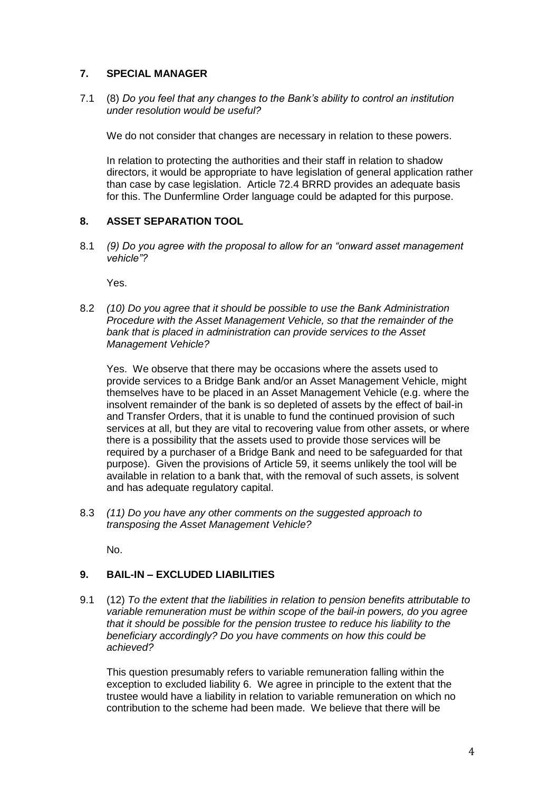## **7. SPECIAL MANAGER**

7.1 (8) *Do you feel that any changes to the Bank's ability to control an institution under resolution would be useful?*

We do not consider that changes are necessary in relation to these powers.

In relation to protecting the authorities and their staff in relation to shadow directors, it would be appropriate to have legislation of general application rather than case by case legislation. Article 72.4 BRRD provides an adequate basis for this. The Dunfermline Order language could be adapted for this purpose.

### **8. ASSET SEPARATION TOOL**

8.1 *(9) Do you agree with the proposal to allow for an "onward asset management vehicle"?*

Yes.

8.2 *(10) Do you agree that it should be possible to use the Bank Administration Procedure with the Asset Management Vehicle, so that the remainder of the bank that is placed in administration can provide services to the Asset Management Vehicle?*

Yes. We observe that there may be occasions where the assets used to provide services to a Bridge Bank and/or an Asset Management Vehicle, might themselves have to be placed in an Asset Management Vehicle (e.g. where the insolvent remainder of the bank is so depleted of assets by the effect of bail-in and Transfer Orders, that it is unable to fund the continued provision of such services at all, but they are vital to recovering value from other assets, or where there is a possibility that the assets used to provide those services will be required by a purchaser of a Bridge Bank and need to be safeguarded for that purpose). Given the provisions of Article 59, it seems unlikely the tool will be available in relation to a bank that, with the removal of such assets, is solvent and has adequate regulatory capital.

8.3 *(11) Do you have any other comments on the suggested approach to transposing the Asset Management Vehicle?*

No.

## **9. BAIL-IN – EXCLUDED LIABILITIES**

9.1 (12) *To the extent that the liabilities in relation to pension benefits attributable to variable remuneration must be within scope of the bail-in powers, do you agree that it should be possible for the pension trustee to reduce his liability to the beneficiary accordingly? Do you have comments on how this could be achieved?*

This question presumably refers to variable remuneration falling within the exception to excluded liability 6. We agree in principle to the extent that the trustee would have a liability in relation to variable remuneration on which no contribution to the scheme had been made. We believe that there will be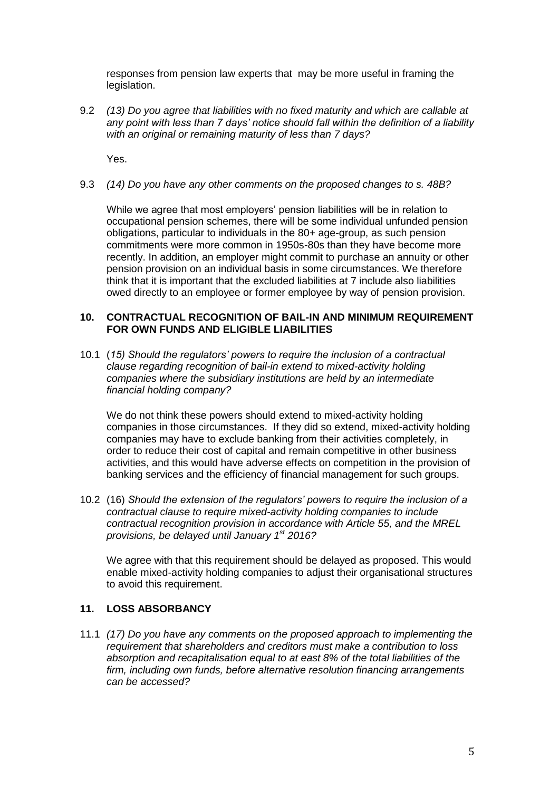responses from pension law experts that may be more useful in framing the legislation.

9.2 *(13) Do you agree that liabilities with no fixed maturity and which are callable at any point with less than 7 days' notice should fall within the definition of a liability with an original or remaining maturity of less than 7 days?*

Yes.

9.3 *(14) Do you have any other comments on the proposed changes to s. 48B?*

While we agree that most employers' pension liabilities will be in relation to occupational pension schemes, there will be some individual unfunded pension obligations, particular to individuals in the 80+ age-group, as such pension commitments were more common in 1950s-80s than they have become more recently. In addition, an employer might commit to purchase an annuity or other pension provision on an individual basis in some circumstances. We therefore think that it is important that the excluded liabilities at 7 include also liabilities owed directly to an employee or former employee by way of pension provision.

#### **10. CONTRACTUAL RECOGNITION OF BAIL-IN AND MINIMUM REQUIREMENT FOR OWN FUNDS AND ELIGIBLE LIABILITIES**

10.1 (*15) Should the regulators' powers to require the inclusion of a contractual clause regarding recognition of bail-in extend to mixed-activity holding companies where the subsidiary institutions are held by an intermediate financial holding company?*

We do not think these powers should extend to mixed-activity holding companies in those circumstances. If they did so extend, mixed-activity holding companies may have to exclude banking from their activities completely, in order to reduce their cost of capital and remain competitive in other business activities, and this would have adverse effects on competition in the provision of banking services and the efficiency of financial management for such groups.

10.2 (16) *Should the extension of the regulators' powers to require the inclusion of a contractual clause to require mixed-activity holding companies to include contractual recognition provision in accordance with Article 55, and the MREL provisions, be delayed until January 1 st 2016?*

We agree with that this requirement should be delayed as proposed. This would enable mixed-activity holding companies to adjust their organisational structures to avoid this requirement.

### **11. LOSS ABSORBANCY**

11.1 *(17) Do you have any comments on the proposed approach to implementing the requirement that shareholders and creditors must make a contribution to loss absorption and recapitalisation equal to at east 8% of the total liabilities of the firm, including own funds, before alternative resolution financing arrangements can be accessed?*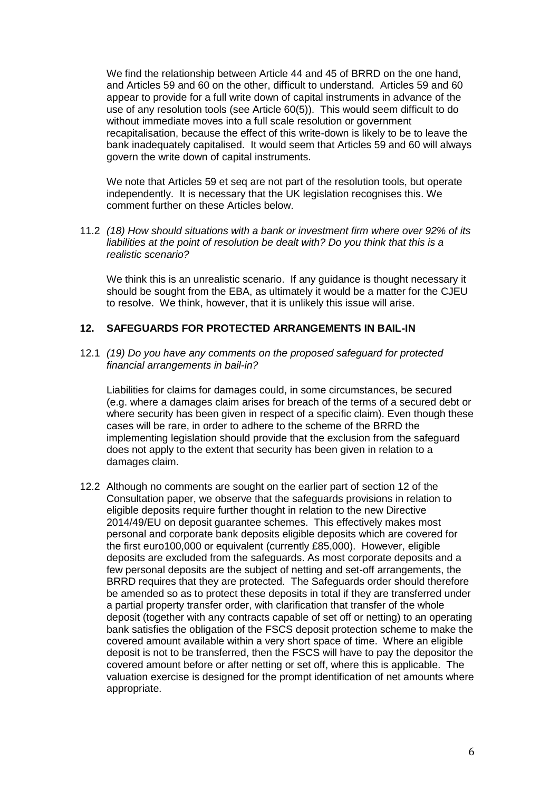We find the relationship between Article 44 and 45 of BRRD on the one hand, and Articles 59 and 60 on the other, difficult to understand. Articles 59 and 60 appear to provide for a full write down of capital instruments in advance of the use of any resolution tools (see Article 60(5)). This would seem difficult to do without immediate moves into a full scale resolution or government recapitalisation, because the effect of this write-down is likely to be to leave the bank inadequately capitalised. It would seem that Articles 59 and 60 will always govern the write down of capital instruments.

We note that Articles 59 et seq are not part of the resolution tools, but operate independently. It is necessary that the UK legislation recognises this. We comment further on these Articles below.

11.2 *(18) How should situations with a bank or investment firm where over 92% of its liabilities at the point of resolution be dealt with? Do you think that this is a realistic scenario?*

We think this is an unrealistic scenario. If any guidance is thought necessary it should be sought from the EBA, as ultimately it would be a matter for the CJEU to resolve. We think, however, that it is unlikely this issue will arise.

### **12. SAFEGUARDS FOR PROTECTED ARRANGEMENTS IN BAIL-IN**

12.1 *(19) Do you have any comments on the proposed safeguard for protected financial arrangements in bail-in?*

Liabilities for claims for damages could, in some circumstances, be secured (e.g. where a damages claim arises for breach of the terms of a secured debt or where security has been given in respect of a specific claim). Even though these cases will be rare, in order to adhere to the scheme of the BRRD the implementing legislation should provide that the exclusion from the safeguard does not apply to the extent that security has been given in relation to a damages claim.

12.2 Although no comments are sought on the earlier part of section 12 of the Consultation paper, we observe that the safeguards provisions in relation to eligible deposits require further thought in relation to the new Directive 2014/49/EU on deposit guarantee schemes. This effectively makes most personal and corporate bank deposits eligible deposits which are covered for the first euro100,000 or equivalent (currently £85,000). However, eligible deposits are excluded from the safeguards. As most corporate deposits and a few personal deposits are the subject of netting and set-off arrangements, the BRRD requires that they are protected. The Safeguards order should therefore be amended so as to protect these deposits in total if they are transferred under a partial property transfer order, with clarification that transfer of the whole deposit (together with any contracts capable of set off or netting) to an operating bank satisfies the obligation of the FSCS deposit protection scheme to make the covered amount available within a very short space of time. Where an eligible deposit is not to be transferred, then the FSCS will have to pay the depositor the covered amount before or after netting or set off, where this is applicable. The valuation exercise is designed for the prompt identification of net amounts where appropriate.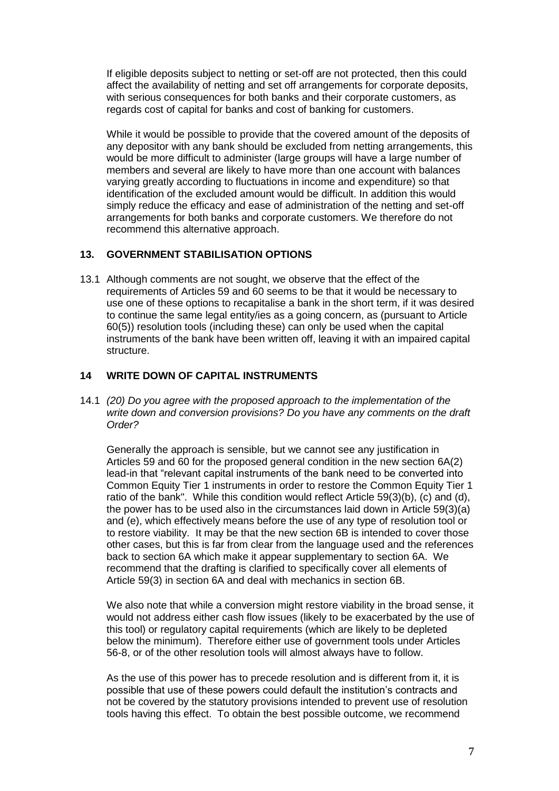If eligible deposits subject to netting or set-off are not protected, then this could affect the availability of netting and set off arrangements for corporate deposits, with serious consequences for both banks and their corporate customers, as regards cost of capital for banks and cost of banking for customers.

While it would be possible to provide that the covered amount of the deposits of any depositor with any bank should be excluded from netting arrangements, this would be more difficult to administer (large groups will have a large number of members and several are likely to have more than one account with balances varying greatly according to fluctuations in income and expenditure) so that identification of the excluded amount would be difficult. In addition this would simply reduce the efficacy and ease of administration of the netting and set-off arrangements for both banks and corporate customers. We therefore do not recommend this alternative approach.

### **13. GOVERNMENT STABILISATION OPTIONS**

13.1 Although comments are not sought, we observe that the effect of the requirements of Articles 59 and 60 seems to be that it would be necessary to use one of these options to recapitalise a bank in the short term, if it was desired to continue the same legal entity/ies as a going concern, as (pursuant to Article 60(5)) resolution tools (including these) can only be used when the capital instruments of the bank have been written off, leaving it with an impaired capital structure.

## **14 WRITE DOWN OF CAPITAL INSTRUMENTS**

14.1 *(20) Do you agree with the proposed approach to the implementation of the write down and conversion provisions? Do you have any comments on the draft Order?*

Generally the approach is sensible, but we cannot see any justification in Articles 59 and 60 for the proposed general condition in the new section 6A(2) lead-in that "relevant capital instruments of the bank need to be converted into Common Equity Tier 1 instruments in order to restore the Common Equity Tier 1 ratio of the bank". While this condition would reflect Article 59(3)(b), (c) and (d), the power has to be used also in the circumstances laid down in Article 59(3)(a) and (e), which effectively means before the use of any type of resolution tool or to restore viability. It may be that the new section 6B is intended to cover those other cases, but this is far from clear from the language used and the references back to section 6A which make it appear supplementary to section 6A. We recommend that the drafting is clarified to specifically cover all elements of Article 59(3) in section 6A and deal with mechanics in section 6B.

We also note that while a conversion might restore viability in the broad sense, it would not address either cash flow issues (likely to be exacerbated by the use of this tool) or regulatory capital requirements (which are likely to be depleted below the minimum). Therefore either use of government tools under Articles 56-8, or of the other resolution tools will almost always have to follow.

As the use of this power has to precede resolution and is different from it, it is possible that use of these powers could default the institution's contracts and not be covered by the statutory provisions intended to prevent use of resolution tools having this effect. To obtain the best possible outcome, we recommend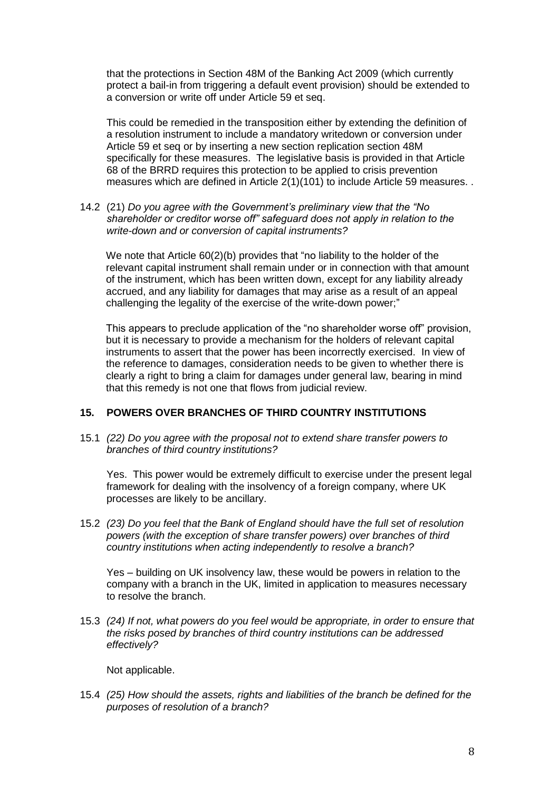that the protections in Section 48M of the Banking Act 2009 (which currently protect a bail-in from triggering a default event provision) should be extended to a conversion or write off under Article 59 et seq.

This could be remedied in the transposition either by extending the definition of a resolution instrument to include a mandatory writedown or conversion under Article 59 et seq or by inserting a new section replication section 48M specifically for these measures. The legislative basis is provided in that Article 68 of the BRRD requires this protection to be applied to crisis prevention measures which are defined in Article 2(1)(101) to include Article 59 measures. .

14.2 (21) *Do you agree with the Government's preliminary view that the "No shareholder or creditor worse off" safeguard does not apply in relation to the write-down and or conversion of capital instruments?*

We note that Article 60(2)(b) provides that "no liability to the holder of the relevant capital instrument shall remain under or in connection with that amount of the instrument, which has been written down, except for any liability already accrued, and any liability for damages that may arise as a result of an appeal challenging the legality of the exercise of the write-down power;"

This appears to preclude application of the "no shareholder worse off" provision, but it is necessary to provide a mechanism for the holders of relevant capital instruments to assert that the power has been incorrectly exercised. In view of the reference to damages, consideration needs to be given to whether there is clearly a right to bring a claim for damages under general law, bearing in mind that this remedy is not one that flows from judicial review.

### **15. POWERS OVER BRANCHES OF THIRD COUNTRY INSTITUTIONS**

15.1 *(22) Do you agree with the proposal not to extend share transfer powers to branches of third country institutions?*

Yes. This power would be extremely difficult to exercise under the present legal framework for dealing with the insolvency of a foreign company, where UK processes are likely to be ancillary.

15.2 *(23) Do you feel that the Bank of England should have the full set of resolution powers (with the exception of share transfer powers) over branches of third country institutions when acting independently to resolve a branch?*

Yes – building on UK insolvency law, these would be powers in relation to the company with a branch in the UK, limited in application to measures necessary to resolve the branch.

15.3 *(24) If not, what powers do you feel would be appropriate, in order to ensure that the risks posed by branches of third country institutions can be addressed effectively?*

Not applicable.

15.4 *(25) How should the assets, rights and liabilities of the branch be defined for the purposes of resolution of a branch?*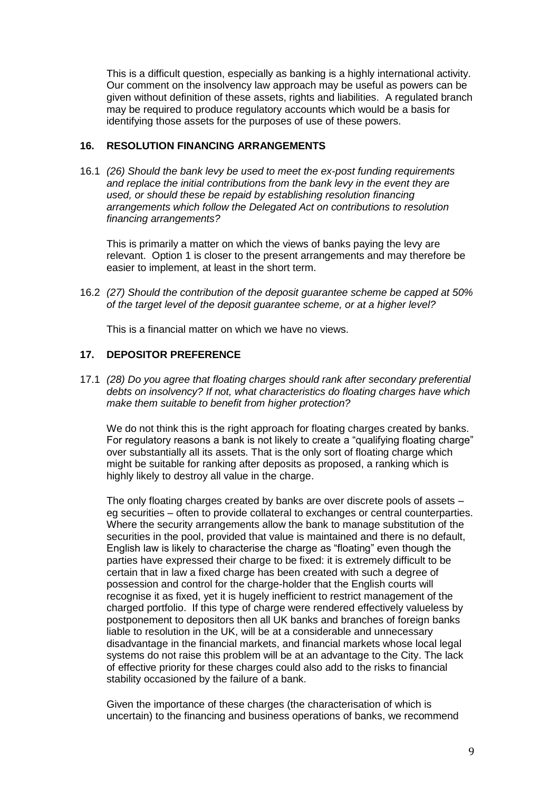This is a difficult question, especially as banking is a highly international activity. Our comment on the insolvency law approach may be useful as powers can be given without definition of these assets, rights and liabilities. A regulated branch may be required to produce regulatory accounts which would be a basis for identifying those assets for the purposes of use of these powers.

### **16. RESOLUTION FINANCING ARRANGEMENTS**

16.1 *(26) Should the bank levy be used to meet the ex-post funding requirements and replace the initial contributions from the bank levy in the event they are used, or should these be repaid by establishing resolution financing arrangements which follow the Delegated Act on contributions to resolution financing arrangements?*

This is primarily a matter on which the views of banks paying the levy are relevant. Option 1 is closer to the present arrangements and may therefore be easier to implement, at least in the short term.

16.2 *(27) Should the contribution of the deposit guarantee scheme be capped at 50% of the target level of the deposit guarantee scheme, or at a higher level?*

This is a financial matter on which we have no views.

### **17. DEPOSITOR PREFERENCE**

17.1 *(28) Do you agree that floating charges should rank after secondary preferential debts on insolvency? If not, what characteristics do floating charges have which make them suitable to benefit from higher protection?*

We do not think this is the right approach for floating charges created by banks. For regulatory reasons a bank is not likely to create a "qualifying floating charge" over substantially all its assets. That is the only sort of floating charge which might be suitable for ranking after deposits as proposed, a ranking which is highly likely to destroy all value in the charge.

The only floating charges created by banks are over discrete pools of assets – eg securities – often to provide collateral to exchanges or central counterparties. Where the security arrangements allow the bank to manage substitution of the securities in the pool, provided that value is maintained and there is no default, English law is likely to characterise the charge as "floating" even though the parties have expressed their charge to be fixed: it is extremely difficult to be certain that in law a fixed charge has been created with such a degree of possession and control for the charge-holder that the English courts will recognise it as fixed, yet it is hugely inefficient to restrict management of the charged portfolio. If this type of charge were rendered effectively valueless by postponement to depositors then all UK banks and branches of foreign banks liable to resolution in the UK, will be at a considerable and unnecessary disadvantage in the financial markets, and financial markets whose local legal systems do not raise this problem will be at an advantage to the City. The lack of effective priority for these charges could also add to the risks to financial stability occasioned by the failure of a bank.

Given the importance of these charges (the characterisation of which is uncertain) to the financing and business operations of banks, we recommend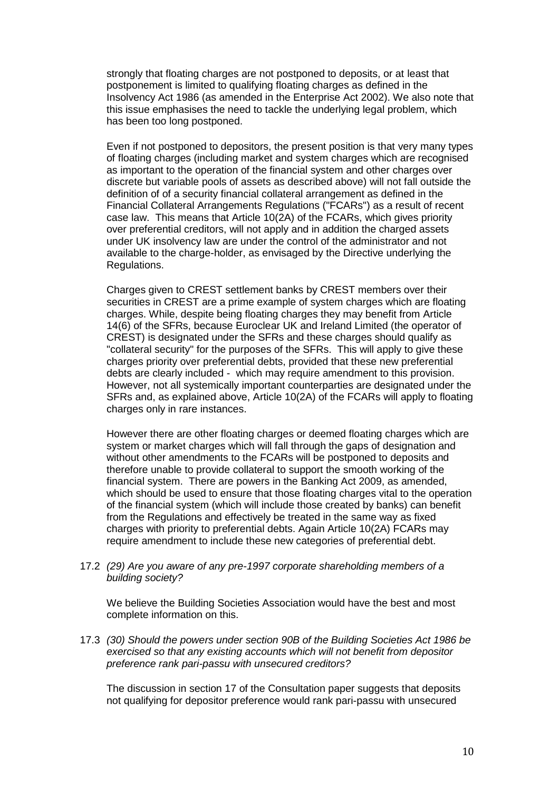strongly that floating charges are not postponed to deposits, or at least that postponement is limited to qualifying floating charges as defined in the Insolvency Act 1986 (as amended in the Enterprise Act 2002). We also note that this issue emphasises the need to tackle the underlying legal problem, which has been too long postponed.

Even if not postponed to depositors, the present position is that very many types of floating charges (including market and system charges which are recognised as important to the operation of the financial system and other charges over discrete but variable pools of assets as described above) will not fall outside the definition of of a security financial collateral arrangement as defined in the Financial Collateral Arrangements Regulations ("FCARs") as a result of recent case law. This means that Article 10(2A) of the FCARs, which gives priority over preferential creditors, will not apply and in addition the charged assets under UK insolvency law are under the control of the administrator and not available to the charge-holder, as envisaged by the Directive underlying the Regulations.

Charges given to CREST settlement banks by CREST members over their securities in CREST are a prime example of system charges which are floating charges. While, despite being floating charges they may benefit from Article 14(6) of the SFRs, because Euroclear UK and Ireland Limited (the operator of CREST) is designated under the SFRs and these charges should qualify as "collateral security" for the purposes of the SFRs. This will apply to give these charges priority over preferential debts, provided that these new preferential debts are clearly included - which may require amendment to this provision. However, not all systemically important counterparties are designated under the SFRs and, as explained above, Article 10(2A) of the FCARs will apply to floating charges only in rare instances.

However there are other floating charges or deemed floating charges which are system or market charges which will fall through the gaps of designation and without other amendments to the FCARs will be postponed to deposits and therefore unable to provide collateral to support the smooth working of the financial system. There are powers in the Banking Act 2009, as amended, which should be used to ensure that those floating charges vital to the operation of the financial system (which will include those created by banks) can benefit from the Regulations and effectively be treated in the same way as fixed charges with priority to preferential debts. Again Article 10(2A) FCARs may require amendment to include these new categories of preferential debt.

17.2 *(29) Are you aware of any pre-1997 corporate shareholding members of a building society?*

We believe the Building Societies Association would have the best and most complete information on this.

17.3 *(30) Should the powers under section 90B of the Building Societies Act 1986 be exercised so that any existing accounts which will not benefit from depositor preference rank pari-passu with unsecured creditors?*

The discussion in section 17 of the Consultation paper suggests that deposits not qualifying for depositor preference would rank pari-passu with unsecured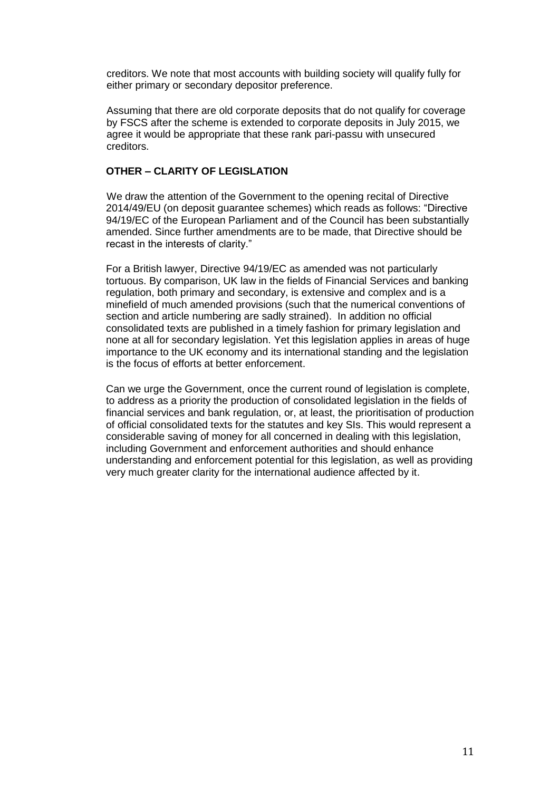creditors. We note that most accounts with building society will qualify fully for either primary or secondary depositor preference.

Assuming that there are old corporate deposits that do not qualify for coverage by FSCS after the scheme is extended to corporate deposits in July 2015, we agree it would be appropriate that these rank pari-passu with unsecured creditors.

## **OTHER – CLARITY OF LEGISLATION**

We draw the attention of the Government to the opening recital of Directive 2014/49/EU (on deposit guarantee schemes) which reads as follows: "Directive 94/19/EC of the European Parliament and of the Council has been substantially amended. Since further amendments are to be made, that Directive should be recast in the interests of clarity."

For a British lawyer, Directive 94/19/EC as amended was not particularly tortuous. By comparison, UK law in the fields of Financial Services and banking regulation, both primary and secondary, is extensive and complex and is a minefield of much amended provisions (such that the numerical conventions of section and article numbering are sadly strained). In addition no official consolidated texts are published in a timely fashion for primary legislation and none at all for secondary legislation. Yet this legislation applies in areas of huge importance to the UK economy and its international standing and the legislation is the focus of efforts at better enforcement.

Can we urge the Government, once the current round of legislation is complete, to address as a priority the production of consolidated legislation in the fields of financial services and bank regulation, or, at least, the prioritisation of production of official consolidated texts for the statutes and key SIs. This would represent a considerable saving of money for all concerned in dealing with this legislation, including Government and enforcement authorities and should enhance understanding and enforcement potential for this legislation, as well as providing very much greater clarity for the international audience affected by it.